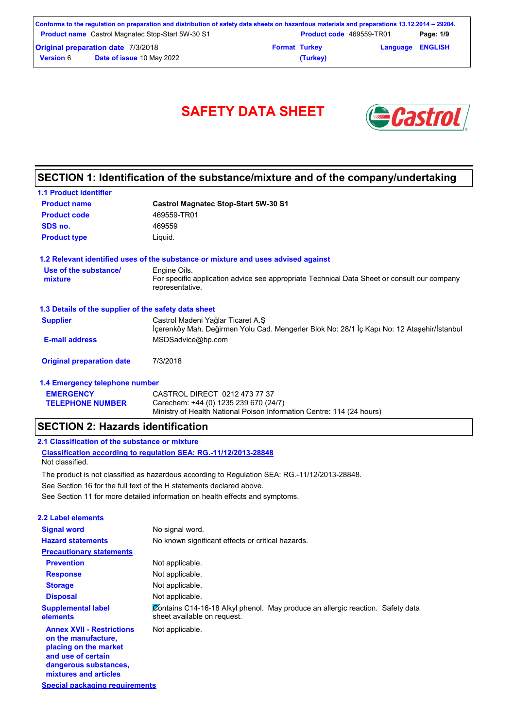|                  | Conforms to the regulation on preparation and distribution of safety data sheets on hazardous materials and preparations 13.12.2014 – 29204. |                      |                                 |                         |           |
|------------------|----------------------------------------------------------------------------------------------------------------------------------------------|----------------------|---------------------------------|-------------------------|-----------|
|                  | <b>Product name</b> Castrol Magnatec Stop-Start 5W-30 S1                                                                                     |                      | <b>Product code</b> 469559-TR01 |                         | Page: 1/9 |
|                  | <b>Original preparation date 7/3/2018</b>                                                                                                    | <b>Format Turkey</b> |                                 | <b>Language ENGLISH</b> |           |
| <b>Version 6</b> | Date of issue 10 May 2022                                                                                                                    |                      | (Turkey)                        |                         |           |

# SAFETY DATA SHEET **& Castro**



### **SECTION 1: Identification of the substance/mixture and of the company/undertaking**

| <b>1.1 Product identifier</b>                        |                                                                                                                                 |
|------------------------------------------------------|---------------------------------------------------------------------------------------------------------------------------------|
| <b>Product name</b>                                  | <b>Castrol Magnatec Stop-Start 5W-30 S1</b>                                                                                     |
| <b>Product code</b>                                  | 469559-TR01                                                                                                                     |
| SDS no.                                              | 469559                                                                                                                          |
| <b>Product type</b>                                  | Liquid.                                                                                                                         |
|                                                      | 1.2 Relevant identified uses of the substance or mixture and uses advised against                                               |
| Use of the substance/                                | Engine Oils.                                                                                                                    |
| mixture                                              | For specific application advice see appropriate Technical Data Sheet or consult our company<br>representative.                  |
| 1.3 Details of the supplier of the safety data sheet |                                                                                                                                 |
| <b>Supplier</b>                                      | Castrol Madeni Yağlar Ticaret A.Ş<br>İçerenköy Mah. Değirmen Yolu Cad. Mengerler Blok No: 28/1 İç Kapı No: 12 Ataşehir/İstanbul |
| <b>E-mail address</b>                                | MSDSadvice@bp.com                                                                                                               |
| <b>Original preparation date</b>                     | 7/3/2018                                                                                                                        |
| 1.4 Emergency telephone number                       |                                                                                                                                 |
| <b>EMERGENCY</b>                                     | CASTROL DIRECT 0212 473 77 37                                                                                                   |
| <b>TELEPHONE NUMBER</b>                              | Carechem: +44 (0) 1235 239 670 (24/7)                                                                                           |

Ministry of Health National Poison Information Centre: 114 (24 hours)

### **SECTION 2: Hazards identification**

### **2.1 Classification of the substance or mixture**

**Classification according to regulation SEA: RG.-11/12/2013-28848** Not classified.

See Section 11 for more detailed information on health effects and symptoms. See Section 16 for the full text of the H statements declared above. The product is not classified as hazardous according to Regulation SEA: RG.-11/12/2013-28848.

| <b>2.2 Label elements</b>                                                                                                                                |                                                                                                               |
|----------------------------------------------------------------------------------------------------------------------------------------------------------|---------------------------------------------------------------------------------------------------------------|
| <b>Signal word</b>                                                                                                                                       | No signal word.                                                                                               |
| <b>Hazard statements</b>                                                                                                                                 | No known significant effects or critical hazards.                                                             |
| <b>Precautionary statements</b>                                                                                                                          |                                                                                                               |
| <b>Prevention</b>                                                                                                                                        | Not applicable.                                                                                               |
| <b>Response</b>                                                                                                                                          | Not applicable.                                                                                               |
| <b>Storage</b>                                                                                                                                           | Not applicable.                                                                                               |
| <b>Disposal</b>                                                                                                                                          | Not applicable.                                                                                               |
| <b>Supplemental label</b><br>elements                                                                                                                    | Contains C14-16-18 Alkyl phenol. May produce an allergic reaction. Safety data<br>sheet available on request. |
| <b>Annex XVII - Restrictions</b><br>on the manufacture,<br>placing on the market<br>and use of certain<br>dangerous substances,<br>mixtures and articles | Not applicable.                                                                                               |

Carechem: +44 (0) 1235 239 670 (24/7)

**Special packaging requirements**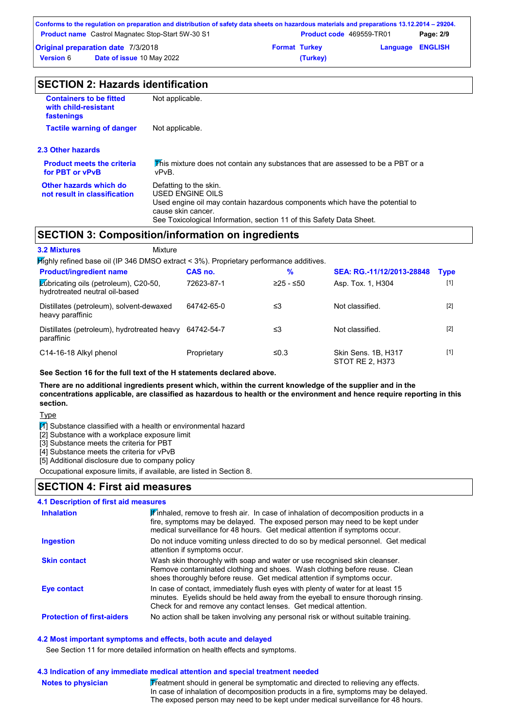| Conforms to the regulation on preparation and distribution of safety data sheets on hazardous materials and preparations 13.12.2014 – 29204. |  |                      |                                 |           |
|----------------------------------------------------------------------------------------------------------------------------------------------|--|----------------------|---------------------------------|-----------|
| <b>Product name</b> Castrol Magnatec Stop-Start 5W-30 S1                                                                                     |  |                      | <b>Product code</b> 469559-TR01 | Page: 2/9 |
| <b>Original preparation date 7/3/2018</b>                                                                                                    |  | <b>Format Turkey</b> | <b>Language ENGLISH</b>         |           |
| Date of issue 10 May 2022<br><b>Version</b> 6                                                                                                |  | (Turkey)             |                                 |           |

| <b>Containers to be fitted</b><br>with child-resistant<br>fastenings | Not applicable.                                                                                                                                                                                                          |  |  |
|----------------------------------------------------------------------|--------------------------------------------------------------------------------------------------------------------------------------------------------------------------------------------------------------------------|--|--|
| <b>Tactile warning of danger</b>                                     | Not applicable.                                                                                                                                                                                                          |  |  |
| 2.3 Other hazards                                                    |                                                                                                                                                                                                                          |  |  |
| <b>Product meets the criteria</b><br>for PBT or vPvB                 | This mixture does not contain any substances that are assessed to be a PBT or a<br>vPvB.                                                                                                                                 |  |  |
| Other hazards which do<br>not result in classification               | Defatting to the skin.<br>USED ENGINE OILS<br>Used engine oil may contain hazardous components which have the potential to<br>cause skin cancer.<br>See Toxicological Information, section 11 of this Safety Data Sheet. |  |  |
|                                                                      | <b>SECTION 3: Composition/information on ingredients</b>                                                                                                                                                                 |  |  |
| <b>3.2 Mixtures</b>                                                  | Mixture                                                                                                                                                                                                                  |  |  |
|                                                                      | $H$ iahly refined hase oil (IP 346 DMSO extract < 3%) Proprietary performance additives                                                                                                                                  |  |  |

| <b>Product/ingredient name</b>                                          | CAS no.     | %           | SEA: RG.-11/12/2013-28848              | <b>Type</b> |
|-------------------------------------------------------------------------|-------------|-------------|----------------------------------------|-------------|
| Lubricating oils (petroleum), C20-50,<br>hydrotreated neutral oil-based | 72623-87-1  | $≥25 - ≤50$ | Asp. Tox. 1, H304                      | $[1]$       |
| Distillates (petroleum), solvent-dewaxed<br>heavy paraffinic            | 64742-65-0  | ≤3          | Not classified.                        | $[2]$       |
| Distillates (petroleum), hydrotreated heavy<br>paraffinic               | 64742-54-7  | ≤3          | Not classified.                        | $[2]$       |
| C14-16-18 Alkyl phenol                                                  | Proprietary | ≤0.3        | Skin Sens, 1B, H317<br>STOT RE 2. H373 | $[1]$       |

**See Section 16 for the full text of the H statements declared above.**

**There are no additional ingredients present which, within the current knowledge of the supplier and in the concentrations applicable, are classified as hazardous to health or the environment and hence require reporting in this section.**

Type

 $\boxed{1}$  Substance classified with a health or environmental hazard

[2] Substance with a workplace exposure limit

[3] Substance meets the criteria for PBT

**Notes to physician**

[4] Substance meets the criteria for vPvB

[5] Additional disclosure due to company policy

Occupational exposure limits, if available, are listed in Section 8.

### **SECTION 4: First aid measures**

| <b>4.1 Description of first aid measures</b> |                                                                                                                                                                                                                                                   |
|----------------------------------------------|---------------------------------------------------------------------------------------------------------------------------------------------------------------------------------------------------------------------------------------------------|
| <b>Inhalation</b>                            | Finhaled, remove to fresh air. In case of inhalation of decomposition products in a<br>fire, symptoms may be delayed. The exposed person may need to be kept under<br>medical surveillance for 48 hours. Get medical attention if symptoms occur. |
| <b>Ingestion</b>                             | Do not induce vomiting unless directed to do so by medical personnel. Get medical<br>attention if symptoms occur.                                                                                                                                 |
| <b>Skin contact</b>                          | Wash skin thoroughly with soap and water or use recognised skin cleanser.<br>Remove contaminated clothing and shoes. Wash clothing before reuse. Clean<br>shoes thoroughly before reuse. Get medical attention if symptoms occur.                 |
| Eye contact                                  | In case of contact, immediately flush eyes with plenty of water for at least 15<br>minutes. Eyelids should be held away from the eyeball to ensure thorough rinsing.<br>Check for and remove any contact lenses. Get medical attention.           |
| <b>Protection of first-aiders</b>            | No action shall be taken involving any personal risk or without suitable training.                                                                                                                                                                |

### **4.2 Most important symptoms and effects, both acute and delayed**

See Section 11 for more detailed information on health effects and symptoms.

### **4.3 Indication of any immediate medical attention and special treatment needed**

Treatment should in general be symptomatic and directed to relieving any effects. In case of inhalation of decomposition products in a fire, symptoms may be delayed. The exposed person may need to be kept under medical surveillance for 48 hours.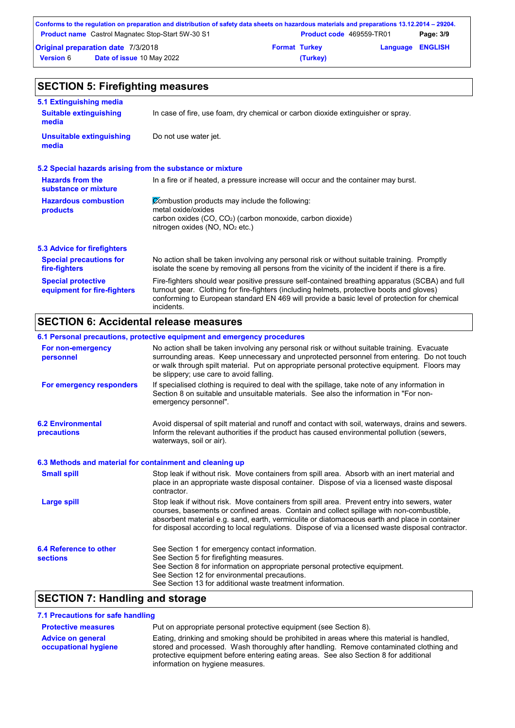|                  | Conforms to the regulation on preparation and distribution of safety data sheets on hazardous materials and preparations 13.12.2014 – 29204. |                      |                                 |                         |           |
|------------------|----------------------------------------------------------------------------------------------------------------------------------------------|----------------------|---------------------------------|-------------------------|-----------|
|                  | <b>Product name</b> Castrol Magnatec Stop-Start 5W-30 S1                                                                                     |                      | <b>Product code</b> 469559-TR01 |                         | Page: 3/9 |
|                  | <b>Original preparation date 7/3/2018</b>                                                                                                    | <b>Format Turkey</b> |                                 | <b>Language ENGLISH</b> |           |
| <b>Version 6</b> | <b>Date of issue 10 May 2022</b>                                                                                                             |                      | (Turkey)                        |                         |           |

| <b>SECTION 5: Firefighting measures</b>                           |                                                                                                                                                                                                                                                                                                           |  |  |  |
|-------------------------------------------------------------------|-----------------------------------------------------------------------------------------------------------------------------------------------------------------------------------------------------------------------------------------------------------------------------------------------------------|--|--|--|
| 5.1 Extinguishing media<br><b>Suitable extinguishing</b><br>media | In case of fire, use foam, dry chemical or carbon dioxide extinguisher or spray.                                                                                                                                                                                                                          |  |  |  |
| <b>Unsuitable extinguishing</b><br>media                          | Do not use water jet.                                                                                                                                                                                                                                                                                     |  |  |  |
| 5.2 Special hazards arising from the substance or mixture         |                                                                                                                                                                                                                                                                                                           |  |  |  |
| <b>Hazards from the</b><br>substance or mixture                   | In a fire or if heated, a pressure increase will occur and the container may burst.                                                                                                                                                                                                                       |  |  |  |
| <b>Hazardous combustion</b><br>products                           | Combustion products may include the following:<br>metal oxide/oxides<br>carbon oxides $(CO, CO2)$ (carbon monoxide, carbon dioxide)<br>nitrogen oxides ( $NO$ , $NO2$ etc.)                                                                                                                               |  |  |  |
| 5.3 Advice for firefighters                                       |                                                                                                                                                                                                                                                                                                           |  |  |  |
| <b>Special precautions for</b><br>fire-fighters                   | No action shall be taken involving any personal risk or without suitable training. Promptly<br>isolate the scene by removing all persons from the vicinity of the incident if there is a fire.                                                                                                            |  |  |  |
| <b>Special protective</b><br>equipment for fire-fighters          | Fire-fighters should wear positive pressure self-contained breathing apparatus (SCBA) and full<br>turnout gear. Clothing for fire-fighters (including helmets, protective boots and gloves)<br>conforming to European standard EN 469 will provide a basic level of protection for chemical<br>incidents. |  |  |  |

## **SECTION 6: Accidental release measures**

|                                                          | 6.1 Personal precautions, protective equipment and emergency procedures                                                                                                                                                                                                                                                                                                                        |
|----------------------------------------------------------|------------------------------------------------------------------------------------------------------------------------------------------------------------------------------------------------------------------------------------------------------------------------------------------------------------------------------------------------------------------------------------------------|
| For non-emergency<br>personnel                           | No action shall be taken involving any personal risk or without suitable training. Evacuate<br>surrounding areas. Keep unnecessary and unprotected personnel from entering. Do not touch<br>or walk through spilt material. Put on appropriate personal protective equipment. Floors may<br>be slippery; use care to avoid falling.                                                            |
| For emergency responders                                 | If specialised clothing is required to deal with the spillage, take note of any information in<br>Section 8 on suitable and unsuitable materials. See also the information in "For non-<br>emergency personnel".                                                                                                                                                                               |
| <b>6.2 Environmental</b><br>precautions                  | Avoid dispersal of spilt material and runoff and contact with soil, waterways, drains and sewers.<br>Inform the relevant authorities if the product has caused environmental pollution (sewers,<br>waterways, soil or air).                                                                                                                                                                    |
| 6.3 Methods and material for containment and cleaning up |                                                                                                                                                                                                                                                                                                                                                                                                |
| <b>Small spill</b>                                       | Stop leak if without risk. Move containers from spill area. Absorb with an inert material and<br>place in an appropriate waste disposal container. Dispose of via a licensed waste disposal<br>contractor.                                                                                                                                                                                     |
| <b>Large spill</b>                                       | Stop leak if without risk. Move containers from spill area. Prevent entry into sewers, water<br>courses, basements or confined areas. Contain and collect spillage with non-combustible,<br>absorbent material e.g. sand, earth, vermiculite or diatomaceous earth and place in container<br>for disposal according to local regulations. Dispose of via a licensed waste disposal contractor. |
| 6.4 Reference to other<br><b>sections</b>                | See Section 1 for emergency contact information.<br>See Section 5 for firefighting measures.<br>See Section 8 for information on appropriate personal protective equipment.<br>See Section 12 for environmental precautions.<br>See Section 13 for additional waste treatment information.                                                                                                     |

## **SECTION 7: Handling and storage**

**7.1 Precautions for safe handling**

| <b>Protective measures</b>                       | Put on appropriate personal protective equipment (see Section 8).                                                                                                                                                                                                                                                |
|--------------------------------------------------|------------------------------------------------------------------------------------------------------------------------------------------------------------------------------------------------------------------------------------------------------------------------------------------------------------------|
| <b>Advice on general</b><br>occupational hygiene | Eating, drinking and smoking should be prohibited in areas where this material is handled,<br>stored and processed. Wash thoroughly after handling. Remove contaminated clothing and<br>protective equipment before entering eating areas. See also Section 8 for additional<br>information on hygiene measures. |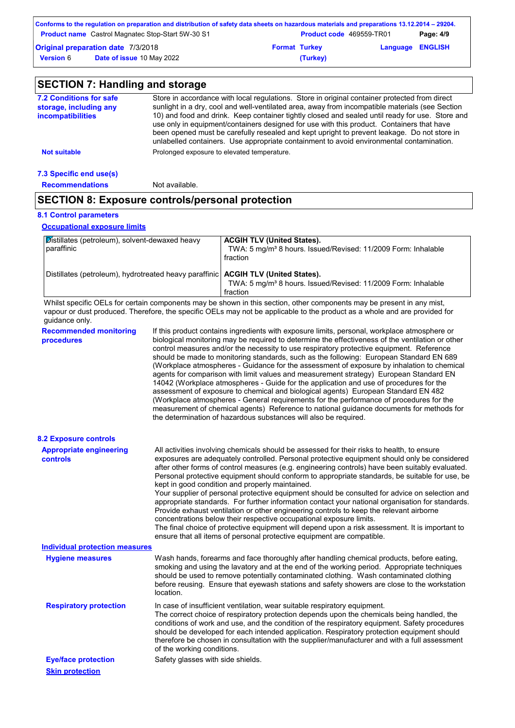|                  | Conforms to the regulation on preparation and distribution of safety data sheets on hazardous materials and preparations 13.12.2014 – 29204. |                                 |                         |           |
|------------------|----------------------------------------------------------------------------------------------------------------------------------------------|---------------------------------|-------------------------|-----------|
|                  | <b>Product name</b> Castrol Magnatec Stop-Start 5W-30 S1                                                                                     | <b>Product code</b> 469559-TR01 |                         | Page: 4/9 |
|                  | Original preparation date 7/3/2018                                                                                                           | <b>Format Turkey</b>            | <b>Language ENGLISH</b> |           |
| <b>Version 6</b> | <b>Date of issue 10 May 2022</b>                                                                                                             | (Turkey)                        |                         |           |

| <b>SECTION 7: Handling and storage</b>                                        |                                                                                                                                                                                                                                                                                                                                                                                                                                                                                                                                                                                             |                                                                                                                                                                                                                                                                                                                                                                                                                                                                                                                                                                                                                                                                                                                                                                                                                                                                                                                                                                                                                            |  |  |  |
|-------------------------------------------------------------------------------|---------------------------------------------------------------------------------------------------------------------------------------------------------------------------------------------------------------------------------------------------------------------------------------------------------------------------------------------------------------------------------------------------------------------------------------------------------------------------------------------------------------------------------------------------------------------------------------------|----------------------------------------------------------------------------------------------------------------------------------------------------------------------------------------------------------------------------------------------------------------------------------------------------------------------------------------------------------------------------------------------------------------------------------------------------------------------------------------------------------------------------------------------------------------------------------------------------------------------------------------------------------------------------------------------------------------------------------------------------------------------------------------------------------------------------------------------------------------------------------------------------------------------------------------------------------------------------------------------------------------------------|--|--|--|
| <b>7.2 Conditions for safe</b><br>storage, including any<br>incompatibilities | Store in accordance with local regulations. Store in original container protected from direct<br>sunlight in a dry, cool and well-ventilated area, away from incompatible materials (see Section<br>10) and food and drink. Keep container tightly closed and sealed until ready for use. Store and<br>use only in equipment/containers designed for use with this product. Containers that have<br>been opened must be carefully resealed and kept upright to prevent leakage. Do not store in<br>unlabelled containers. Use appropriate containment to avoid environmental contamination. |                                                                                                                                                                                                                                                                                                                                                                                                                                                                                                                                                                                                                                                                                                                                                                                                                                                                                                                                                                                                                            |  |  |  |
| <b>Not suitable</b>                                                           |                                                                                                                                                                                                                                                                                                                                                                                                                                                                                                                                                                                             | Prolonged exposure to elevated temperature.                                                                                                                                                                                                                                                                                                                                                                                                                                                                                                                                                                                                                                                                                                                                                                                                                                                                                                                                                                                |  |  |  |
| 7.3 Specific end use(s)                                                       |                                                                                                                                                                                                                                                                                                                                                                                                                                                                                                                                                                                             |                                                                                                                                                                                                                                                                                                                                                                                                                                                                                                                                                                                                                                                                                                                                                                                                                                                                                                                                                                                                                            |  |  |  |
| <b>Recommendations</b>                                                        | Not available.                                                                                                                                                                                                                                                                                                                                                                                                                                                                                                                                                                              |                                                                                                                                                                                                                                                                                                                                                                                                                                                                                                                                                                                                                                                                                                                                                                                                                                                                                                                                                                                                                            |  |  |  |
| <b>SECTION 8: Exposure controls/personal protection</b>                       |                                                                                                                                                                                                                                                                                                                                                                                                                                                                                                                                                                                             |                                                                                                                                                                                                                                                                                                                                                                                                                                                                                                                                                                                                                                                                                                                                                                                                                                                                                                                                                                                                                            |  |  |  |
| <b>8.1 Control parameters</b>                                                 |                                                                                                                                                                                                                                                                                                                                                                                                                                                                                                                                                                                             |                                                                                                                                                                                                                                                                                                                                                                                                                                                                                                                                                                                                                                                                                                                                                                                                                                                                                                                                                                                                                            |  |  |  |
| <b>Occupational exposure limits</b>                                           |                                                                                                                                                                                                                                                                                                                                                                                                                                                                                                                                                                                             |                                                                                                                                                                                                                                                                                                                                                                                                                                                                                                                                                                                                                                                                                                                                                                                                                                                                                                                                                                                                                            |  |  |  |
| Distillates (petroleum), solvent-dewaxed heavy<br>paraffinic                  |                                                                                                                                                                                                                                                                                                                                                                                                                                                                                                                                                                                             | <b>ACGIH TLV (United States).</b><br>TWA: 5 mg/m <sup>3</sup> 8 hours. Issued/Revised: 11/2009 Form: Inhalable<br>fraction                                                                                                                                                                                                                                                                                                                                                                                                                                                                                                                                                                                                                                                                                                                                                                                                                                                                                                 |  |  |  |
| Distillates (petroleum), hydrotreated heavy paraffinic                        |                                                                                                                                                                                                                                                                                                                                                                                                                                                                                                                                                                                             | <b>ACGIH TLV (United States).</b><br>TWA: 5 mg/m <sup>3</sup> 8 hours. Issued/Revised: 11/2009 Form: Inhalable<br>fraction                                                                                                                                                                                                                                                                                                                                                                                                                                                                                                                                                                                                                                                                                                                                                                                                                                                                                                 |  |  |  |
| guidance only.                                                                |                                                                                                                                                                                                                                                                                                                                                                                                                                                                                                                                                                                             | Whilst specific OELs for certain components may be shown in this section, other components may be present in any mist,<br>vapour or dust produced. Therefore, the specific OELs may not be applicable to the product as a whole and are provided for                                                                                                                                                                                                                                                                                                                                                                                                                                                                                                                                                                                                                                                                                                                                                                       |  |  |  |
| <b>Recommended monitoring</b><br>procedures                                   |                                                                                                                                                                                                                                                                                                                                                                                                                                                                                                                                                                                             | If this product contains ingredients with exposure limits, personal, workplace atmosphere or<br>biological monitoring may be required to determine the effectiveness of the ventilation or other<br>control measures and/or the necessity to use respiratory protective equipment. Reference<br>should be made to monitoring standards, such as the following: European Standard EN 689<br>(Workplace atmospheres - Guidance for the assessment of exposure by inhalation to chemical<br>agents for comparison with limit values and measurement strategy) European Standard EN<br>14042 (Workplace atmospheres - Guide for the application and use of procedures for the<br>assessment of exposure to chemical and biological agents) European Standard EN 482<br>(Workplace atmospheres - General requirements for the performance of procedures for the<br>measurement of chemical agents) Reference to national guidance documents for methods for<br>the determination of hazardous substances will also be required. |  |  |  |
| <b>8.2 Exposure controls</b>                                                  |                                                                                                                                                                                                                                                                                                                                                                                                                                                                                                                                                                                             |                                                                                                                                                                                                                                                                                                                                                                                                                                                                                                                                                                                                                                                                                                                                                                                                                                                                                                                                                                                                                            |  |  |  |
| <b>Appropriate engineering</b><br><b>controls</b>                             |                                                                                                                                                                                                                                                                                                                                                                                                                                                                                                                                                                                             | All activities involving chemicals should be assessed for their risks to health, to ensure<br>exposures are adequately controlled. Personal protective equipment should only be considered<br>after other forms of control measures (e.g. engineering controls) have been suitably evaluated.<br>Personal protective equipment should conform to appropriate standards, be suitable for use, be<br>kept in good condition and properly maintained.<br>Your supplier of personal protective equipment should be consulted for advice on selection and<br>appropriate standards. For further information contact your national organisation for standards.<br>Provide exhaust ventilation or other engineering controls to keep the relevant airborne<br>concentrations below their respective occupational exposure limits.<br>The final choice of protective equipment will depend upon a risk assessment. It is important to<br>ensure that all items of personal protective equipment are compatible.                    |  |  |  |
| <b>Individual protection measures</b>                                         |                                                                                                                                                                                                                                                                                                                                                                                                                                                                                                                                                                                             |                                                                                                                                                                                                                                                                                                                                                                                                                                                                                                                                                                                                                                                                                                                                                                                                                                                                                                                                                                                                                            |  |  |  |
| <b>Hygiene measures</b>                                                       | location.                                                                                                                                                                                                                                                                                                                                                                                                                                                                                                                                                                                   | Wash hands, forearms and face thoroughly after handling chemical products, before eating,<br>smoking and using the lavatory and at the end of the working period. Appropriate techniques<br>should be used to remove potentially contaminated clothing. Wash contaminated clothing<br>before reusing. Ensure that eyewash stations and safety showers are close to the workstation                                                                                                                                                                                                                                                                                                                                                                                                                                                                                                                                                                                                                                         |  |  |  |
| <b>Respiratory protection</b>                                                 | In case of insufficient ventilation, wear suitable respiratory equipment.<br>The correct choice of respiratory protection depends upon the chemicals being handled, the<br>conditions of work and use, and the condition of the respiratory equipment. Safety procedures<br>should be developed for each intended application. Respiratory protection equipment should<br>therefore be chosen in consultation with the supplier/manufacturer and with a full assessment<br>of the working conditions.                                                                                       |                                                                                                                                                                                                                                                                                                                                                                                                                                                                                                                                                                                                                                                                                                                                                                                                                                                                                                                                                                                                                            |  |  |  |
| <b>Eye/face protection</b>                                                    | Safety glasses with side shields.                                                                                                                                                                                                                                                                                                                                                                                                                                                                                                                                                           |                                                                                                                                                                                                                                                                                                                                                                                                                                                                                                                                                                                                                                                                                                                                                                                                                                                                                                                                                                                                                            |  |  |  |

### **Skin protection**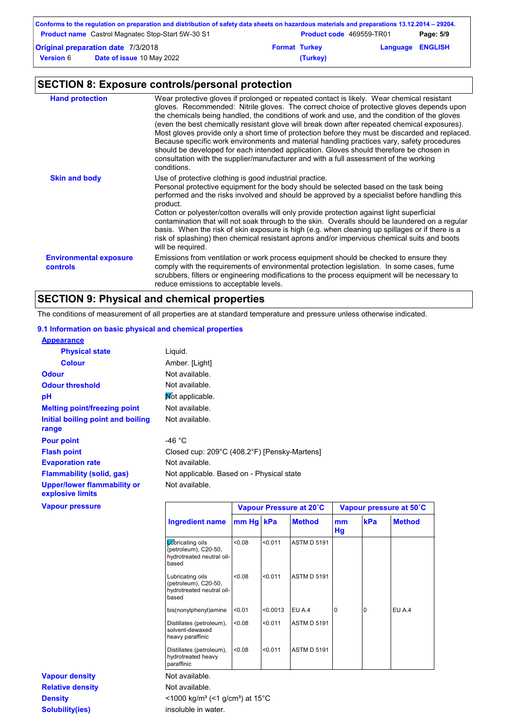|          |                         | Page: 5/9                                                                                                                                                                       |
|----------|-------------------------|---------------------------------------------------------------------------------------------------------------------------------------------------------------------------------|
|          | <b>Language ENGLISH</b> |                                                                                                                                                                                 |
| (Turkey) |                         |                                                                                                                                                                                 |
|          | <b>Format Turkey</b>    | Conforms to the regulation on preparation and distribution of safety data sheets on hazardous materials and preparations 13.12.2014 – 29204.<br><b>Product code</b> 469559-TR01 |

## **SECTION 8: Exposure controls/personal protection**

| <b>Hand protection</b>                    | Wear protective gloves if prolonged or repeated contact is likely. Wear chemical resistant<br>gloves. Recommended: Nitrile gloves. The correct choice of protective gloves depends upon<br>the chemicals being handled, the conditions of work and use, and the condition of the gloves<br>(even the best chemically resistant glove will break down after repeated chemical exposures).<br>Most gloves provide only a short time of protection before they must be discarded and replaced.<br>Because specific work environments and material handling practices vary, safety procedures<br>should be developed for each intended application. Gloves should therefore be chosen in<br>consultation with the supplier/manufacturer and with a full assessment of the working<br>conditions. |
|-------------------------------------------|----------------------------------------------------------------------------------------------------------------------------------------------------------------------------------------------------------------------------------------------------------------------------------------------------------------------------------------------------------------------------------------------------------------------------------------------------------------------------------------------------------------------------------------------------------------------------------------------------------------------------------------------------------------------------------------------------------------------------------------------------------------------------------------------|
| <b>Skin and body</b>                      | Use of protective clothing is good industrial practice.<br>Personal protective equipment for the body should be selected based on the task being<br>performed and the risks involved and should be approved by a specialist before handling this<br>product.<br>Cotton or polyester/cotton overalls will only provide protection against light superficial<br>contamination that will not soak through to the skin. Overalls should be laundered on a regular<br>basis. When the risk of skin exposure is high (e.g. when cleaning up spillages or if there is a<br>risk of splashing) then chemical resistant aprons and/or impervious chemical suits and boots<br>will be required.                                                                                                        |
| <b>Environmental exposure</b><br>controls | Emissions from ventilation or work process equipment should be checked to ensure they<br>comply with the requirements of environmental protection legislation. In some cases, fume<br>scrubbers, filters or engineering modifications to the process equipment will be necessary to<br>reduce emissions to acceptable levels.                                                                                                                                                                                                                                                                                                                                                                                                                                                                |

## **SECTION 9: Physical and chemical properties**

The conditions of measurement of all properties are at standard temperature and pressure unless otherwise indicated.

### **9.1 Information on basic physical and chemical properties**

| <b>Appearance</b>                                      |                  |                                              |  |
|--------------------------------------------------------|------------------|----------------------------------------------|--|
| <b>Physical state</b>                                  | Liquid.          |                                              |  |
| <b>Colour</b>                                          | Amber. [Light]   |                                              |  |
| <b>Odour</b>                                           | Not available.   |                                              |  |
| <b>Odour threshold</b>                                 | Not available.   |                                              |  |
| pH                                                     | Mot applicable.  |                                              |  |
| <b>Melting point/freezing point</b>                    | Not available.   |                                              |  |
| Initial boiling point and boiling<br>range             | Not available.   |                                              |  |
| <b>Pour point</b>                                      | -46 $^{\circ}$ C |                                              |  |
| <b>Flash point</b>                                     |                  | Closed cup: 209°C (408.2°F) [Pensky-Martens] |  |
| <b>Evaporation rate</b>                                | Not available.   |                                              |  |
| <b>Flammability (solid, gas)</b>                       |                  | Not applicable. Based on - Physical state    |  |
| <b>Upper/lower flammability or</b><br>explosive limits | Not available.   |                                              |  |
| <b>Vapour pressure</b>                                 |                  | Vapour Pressure at 20°C                      |  |

|                         | <b>Ingredient name</b>                                                         | mm Hg kPa |          | <b>Method</b>      | mm<br><b>Hg</b> | kPa | <b>Method</b> |
|-------------------------|--------------------------------------------------------------------------------|-----------|----------|--------------------|-----------------|-----|---------------|
|                         | Lubricating oils<br>(petroleum), C20-50,<br>hydrotreated neutral oil-<br>based | < 0.08    | < 0.011  | <b>ASTM D 5191</b> |                 |     |               |
|                         | Lubricating oils<br>(petroleum), C20-50,<br>hydrotreated neutral oil-<br>based | < 0.08    | < 0.011  | <b>ASTM D 5191</b> |                 |     |               |
|                         | bis(nonylphenyl)amine                                                          | < 0.01    | < 0.0013 | EU A.4             | $\Omega$        | 10  | EU A.4        |
|                         | Distillates (petroleum),<br>solvent-dewaxed<br>heavy paraffinic                | < 0.08    | < 0.011  | <b>ASTM D 5191</b> |                 |     |               |
|                         | Distillates (petroleum),<br>hydrotreated heavy<br>paraffinic                   | < 0.08    | < 0.011  | <b>ASTM D 5191</b> |                 |     |               |
| <b>Vapour density</b>   | Not available.                                                                 |           |          |                    |                 |     |               |
| <b>Relative density</b> | Not available.                                                                 |           |          |                    |                 |     |               |
| <b>Density</b>          | $<$ 1000 kg/m <sup>3</sup> (<1 g/cm <sup>3</sup> ) at 15 <sup>°</sup> C        |           |          |                    |                 |     |               |

**Vapour Pressure at 20˚C Vapour pressure at 50˚C**

**Solubility(ies)** insoluble in water.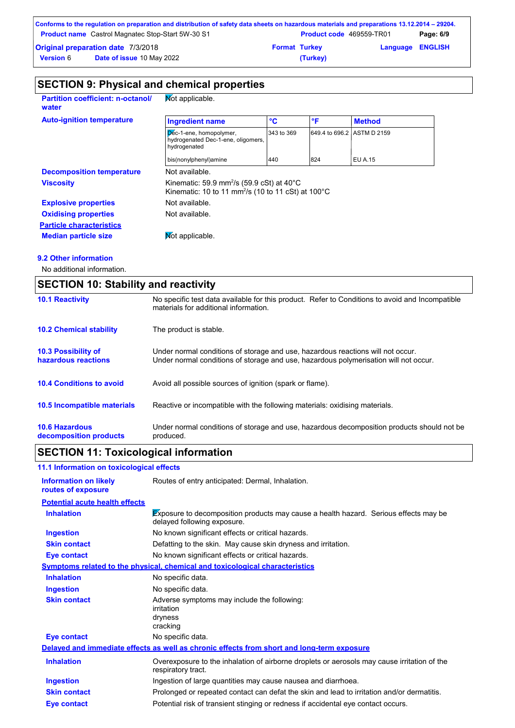|                  | Conforms to the regulation on preparation and distribution of safety data sheets on hazardous materials and preparations 13.12.2014 – 29204. |                      |                                 |                         |           |
|------------------|----------------------------------------------------------------------------------------------------------------------------------------------|----------------------|---------------------------------|-------------------------|-----------|
|                  | <b>Product name</b> Castrol Magnatec Stop-Start 5W-30 S1                                                                                     |                      | <b>Product code</b> 469559-TR01 |                         | Page: 6/9 |
|                  | <b>Original preparation date 7/3/2018</b>                                                                                                    | <b>Format Turkey</b> |                                 | <b>Language ENGLISH</b> |           |
| <b>Version 6</b> | <b>Date of issue 10 May 2022</b>                                                                                                             |                      | (Turkey)                        |                         |           |

| <b>Partition coefficient: n-octanol/</b><br>water | Mot applicable.                                                                                                                    |              |     |                            |
|---------------------------------------------------|------------------------------------------------------------------------------------------------------------------------------------|--------------|-----|----------------------------|
| <b>Auto-ignition temperature</b>                  | <b>Ingredient name</b>                                                                                                             | $\mathbf{C}$ | °F  | <b>Method</b>              |
|                                                   | Dec-1-ene, homopolymer,<br>hydrogenated Dec-1-ene, oligomers,<br>hydrogenated                                                      | 343 to 369   |     | 649.4 to 696.2 ASTM D 2159 |
|                                                   | bis(nonylphenyl)amine                                                                                                              | 440          | 824 | EU A.15                    |
| <b>Decomposition temperature</b>                  | Not available.                                                                                                                     |              |     |                            |
| <b>Viscosity</b>                                  | Kinematic: 59.9 mm <sup>2</sup> /s (59.9 cSt) at 40 $^{\circ}$ C<br>Kinematic: 10 to 11 mm <sup>2</sup> /s (10 to 11 cSt) at 100°C |              |     |                            |
| <b>Explosive properties</b>                       | Not available.                                                                                                                     |              |     |                            |
| <b>Oxidising properties</b>                       | Not available.                                                                                                                     |              |     |                            |
| <b>Particle characteristics</b>                   |                                                                                                                                    |              |     |                            |
| <b>Median particle size</b>                       | Not applicable.                                                                                                                    |              |     |                            |

### **9.2 Other information**

No additional information.

| <b>SECTION 10: Stability and reactivity</b>       |                                                                                                                                                                         |  |  |  |
|---------------------------------------------------|-------------------------------------------------------------------------------------------------------------------------------------------------------------------------|--|--|--|
| <b>10.1 Reactivity</b>                            | No specific test data available for this product. Refer to Conditions to avoid and Incompatible<br>materials for additional information.                                |  |  |  |
| <b>10.2 Chemical stability</b>                    | The product is stable.                                                                                                                                                  |  |  |  |
| <b>10.3 Possibility of</b><br>hazardous reactions | Under normal conditions of storage and use, hazardous reactions will not occur.<br>Under normal conditions of storage and use, hazardous polymerisation will not occur. |  |  |  |
| <b>10.4 Conditions to avoid</b>                   | Avoid all possible sources of ignition (spark or flame).                                                                                                                |  |  |  |
| <b>10.5 Incompatible materials</b>                | Reactive or incompatible with the following materials: oxidising materials.                                                                                             |  |  |  |
| <b>10.6 Hazardous</b><br>decomposition products   | Under normal conditions of storage and use, hazardous decomposition products should not be<br>produced.                                                                 |  |  |  |

## **SECTION 11: Toxicological information**

| 11.1 Information on toxicological effects          |                                                                                                                     |
|----------------------------------------------------|---------------------------------------------------------------------------------------------------------------------|
| <b>Information on likely</b><br>routes of exposure | Routes of entry anticipated: Dermal, Inhalation.                                                                    |
| <b>Potential acute health effects</b>              |                                                                                                                     |
| <b>Inhalation</b>                                  | Exposure to decomposition products may cause a health hazard. Serious effects may be<br>delayed following exposure. |
| <b>Ingestion</b>                                   | No known significant effects or critical hazards.                                                                   |
| <b>Skin contact</b>                                | Defatting to the skin. May cause skin dryness and irritation.                                                       |
| Eye contact                                        | No known significant effects or critical hazards.                                                                   |
|                                                    | <b>Symptoms related to the physical, chemical and toxicological characteristics</b>                                 |
| <b>Inhalation</b>                                  | No specific data.                                                                                                   |
| <b>Ingestion</b>                                   | No specific data.                                                                                                   |
| <b>Skin contact</b>                                | Adverse symptoms may include the following:<br>irritation<br>dryness<br>cracking                                    |
| Eye contact                                        | No specific data.                                                                                                   |
|                                                    | Delayed and immediate effects as well as chronic effects from short and long-term exposure                          |
| <b>Inhalation</b>                                  | Overexposure to the inhalation of airborne droplets or aerosols may cause irritation of the<br>respiratory tract.   |
| <b>Ingestion</b>                                   | Ingestion of large quantities may cause nausea and diarrhoea.                                                       |
| <b>Skin contact</b>                                | Prolonged or repeated contact can defat the skin and lead to irritation and/or dermatitis.                          |
| Eye contact                                        | Potential risk of transient stinging or redness if accidental eye contact occurs.                                   |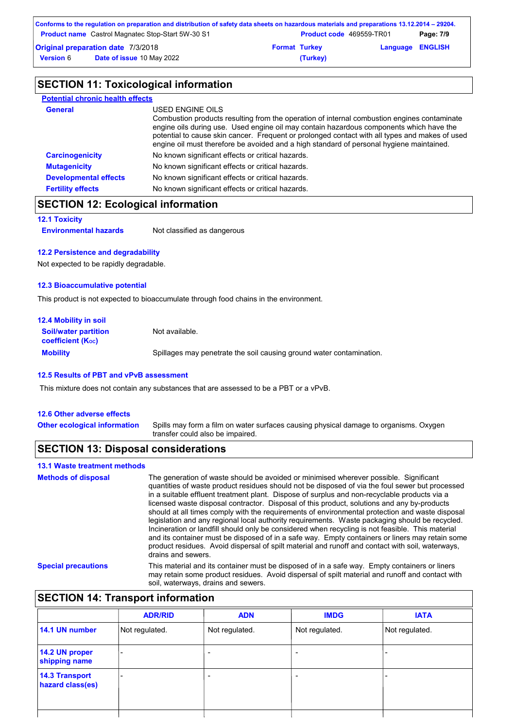| Conforms to the regulation on preparation and distribution of safety data sheets on hazardous materials and preparations 13.12.2014 – 29204. |                      |                                 |                         |
|----------------------------------------------------------------------------------------------------------------------------------------------|----------------------|---------------------------------|-------------------------|
| <b>Product name</b> Castrol Magnatec Stop-Start 5W-30 S1                                                                                     |                      | <b>Product code</b> 469559-TR01 | Page: 7/9               |
| <b>Original preparation date 7/3/2018</b>                                                                                                    | <b>Format Turkey</b> |                                 | <b>Language ENGLISH</b> |
| <b>Date of issue 10 May 2022</b><br><b>Version 6</b>                                                                                         | (Turkey)             |                                 |                         |

## **SECTION 11: Toxicological information**

| <b>Potential chronic health effects</b> |                                                                                                                                                                                                                                                                                                                                                                                                          |
|-----------------------------------------|----------------------------------------------------------------------------------------------------------------------------------------------------------------------------------------------------------------------------------------------------------------------------------------------------------------------------------------------------------------------------------------------------------|
| <b>General</b>                          | USED ENGINE OILS<br>Combustion products resulting from the operation of internal combustion engines contaminate<br>engine oils during use. Used engine oil may contain hazardous components which have the<br>potential to cause skin cancer. Frequent or prolonged contact with all types and makes of used<br>engine oil must therefore be avoided and a high standard of personal hygiene maintained. |
| <b>Carcinogenicity</b>                  | No known significant effects or critical hazards.                                                                                                                                                                                                                                                                                                                                                        |
| <b>Mutagenicity</b>                     | No known significant effects or critical hazards.                                                                                                                                                                                                                                                                                                                                                        |
| <b>Developmental effects</b>            | No known significant effects or critical hazards.                                                                                                                                                                                                                                                                                                                                                        |
| <b>Fertility effects</b>                | No known significant effects or critical hazards.                                                                                                                                                                                                                                                                                                                                                        |

## **SECTION 12: Ecological information**

```
12.1 Toxicity
```
**Environmental hazards** Not classified as dangerous

### **12.2 Persistence and degradability**

Not expected to be rapidly degradable.

### **12.3 Bioaccumulative potential**

This product is not expected to bioaccumulate through food chains in the environment.

| <b>12.4 Mobility in soil</b>                            |                                                                      |
|---------------------------------------------------------|----------------------------------------------------------------------|
| <b>Soil/water partition</b><br><b>coefficient (Koc)</b> | Not available.                                                       |
| <b>Mobility</b>                                         | Spillages may penetrate the soil causing ground water contamination. |

### **12.5 Results of PBT and vPvB assessment**

This mixture does not contain any substances that are assessed to be a PBT or a vPvB.

### **12.6 Other adverse effects**

**13.1 Waste treatment methods**

Spills may form a film on water surfaces causing physical damage to organisms. Oxygen transfer could also be impaired. **Other ecological information**

### **SECTION 13: Disposal considerations**

| 13.1 waste treatment methods |                                                                                                                                                                                                                                                                                                                                                                                                                                                                                                                                                                                                                                                                                                                                                                                                                                                                                                                               |
|------------------------------|-------------------------------------------------------------------------------------------------------------------------------------------------------------------------------------------------------------------------------------------------------------------------------------------------------------------------------------------------------------------------------------------------------------------------------------------------------------------------------------------------------------------------------------------------------------------------------------------------------------------------------------------------------------------------------------------------------------------------------------------------------------------------------------------------------------------------------------------------------------------------------------------------------------------------------|
| <b>Methods of disposal</b>   | The generation of waste should be avoided or minimised wherever possible. Significant<br>quantities of waste product residues should not be disposed of via the foul sewer but processed<br>in a suitable effluent treatment plant. Dispose of surplus and non-recyclable products via a<br>licensed waste disposal contractor. Disposal of this product, solutions and any by-products<br>should at all times comply with the requirements of environmental protection and waste disposal<br>legislation and any regional local authority requirements. Waste packaging should be recycled.<br>Incineration or landfill should only be considered when recycling is not feasible. This material<br>and its container must be disposed of in a safe way. Empty containers or liners may retain some<br>product residues. Avoid dispersal of spilt material and runoff and contact with soil, waterways,<br>drains and sewers. |
| <b>Special precautions</b>   | This material and its container must be disposed of in a safe way. Empty containers or liners<br>may retain some product residues. Avoid dispersal of spilt material and runoff and contact with<br>soil, waterways, drains and sewers.                                                                                                                                                                                                                                                                                                                                                                                                                                                                                                                                                                                                                                                                                       |

## **SECTION 14: Transport information**

| <b>ADR/RID</b> | <b>ADN</b>     | <b>IMDG</b>              | <b>IATA</b>    |
|----------------|----------------|--------------------------|----------------|
| Not regulated. | Not regulated. | Not regulated.           | Not regulated. |
|                |                |                          |                |
|                |                | $\overline{\phantom{0}}$ |                |
|                |                |                          |                |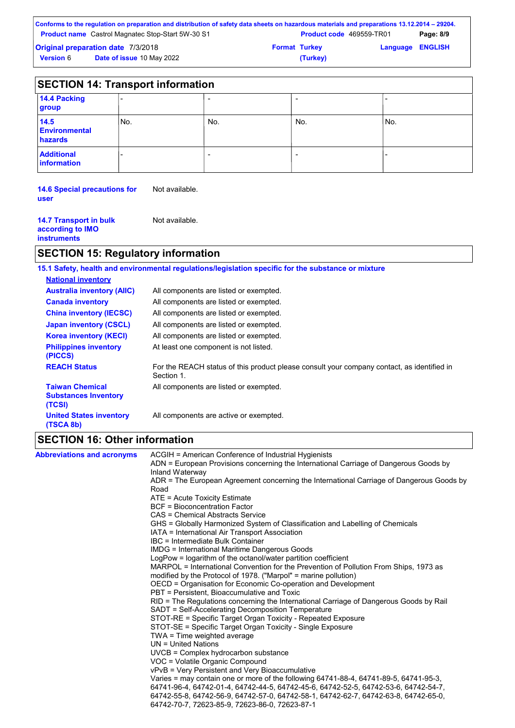| Conforms to the regulation on preparation and distribution of safety data sheets on hazardous materials and preparations 13.12.2014 – 29204. |                                 |                         |           |
|----------------------------------------------------------------------------------------------------------------------------------------------|---------------------------------|-------------------------|-----------|
| <b>Product name</b> Castrol Magnatec Stop-Start 5W-30 S1                                                                                     | <b>Product code</b> 469559-TR01 |                         | Page: 8/9 |
| <b>Original preparation date 7/3/2018</b>                                                                                                    | <b>Format Turkey</b>            | <b>Language ENGLISH</b> |           |
| <b>Date of issue 10 May 2022</b><br><b>Version 6</b>                                                                                         | (Turkey)                        |                         |           |

|                                         | <b>SECTION 14: Transport information</b> |     |                          |      |  |
|-----------------------------------------|------------------------------------------|-----|--------------------------|------|--|
| 14.4 Packing<br>group                   |                                          |     |                          |      |  |
| 14.5<br><b>Environmental</b><br>hazards | No.                                      | No. | No.                      | 'No. |  |
| <b>Additional</b><br><b>information</b> |                                          |     | $\overline{\phantom{0}}$ |      |  |

**14.6 Special precautions for user** Not available.

| <b>14.7 Transport in bulk</b> | Not available. |
|-------------------------------|----------------|
| according to IMO              |                |
| <b>instruments</b>            |                |
|                               |                |

## **SECTION 15: Regulatory information**

|                                                                 | 15.1 Safety, health and environmental regulations/legislation specific for the substance or mixture      |
|-----------------------------------------------------------------|----------------------------------------------------------------------------------------------------------|
| <b>National inventory</b>                                       |                                                                                                          |
| <b>Australia inventory (AIIC)</b>                               | All components are listed or exempted.                                                                   |
| <b>Canada inventory</b>                                         | All components are listed or exempted.                                                                   |
| <b>China inventory (IECSC)</b>                                  | All components are listed or exempted.                                                                   |
| <b>Japan inventory (CSCL)</b>                                   | All components are listed or exempted.                                                                   |
| <b>Korea inventory (KECI)</b>                                   | All components are listed or exempted.                                                                   |
| <b>Philippines inventory</b><br>(PICCS)                         | At least one component is not listed.                                                                    |
| <b>REACH Status</b>                                             | For the REACH status of this product please consult your company contact, as identified in<br>Section 1. |
| <b>Taiwan Chemical</b><br><b>Substances Inventory</b><br>(TCSI) | All components are listed or exempted.                                                                   |
| <b>United States inventory</b><br>(TSCA 8b)                     | All components are active or exempted.                                                                   |

## **SECTION 16: Other information**

| <b>Abbreviations and acronyms</b> | ACGIH = American Conference of Industrial Hygienists                                                     |
|-----------------------------------|----------------------------------------------------------------------------------------------------------|
|                                   | ADN = European Provisions concerning the International Carriage of Dangerous Goods by<br>Inland Waterway |
|                                   | ADR = The European Agreement concerning the International Carriage of Dangerous Goods by                 |
|                                   | Road                                                                                                     |
|                                   | $ATE = Acute Toxicity Estimate$                                                                          |
|                                   | <b>BCF</b> = Bioconcentration Factor                                                                     |
|                                   | CAS = Chemical Abstracts Service                                                                         |
|                                   | GHS = Globally Harmonized System of Classification and Labelling of Chemicals                            |
|                                   | IATA = International Air Transport Association                                                           |
|                                   | IBC = Intermediate Bulk Container                                                                        |
|                                   | <b>IMDG</b> = International Maritime Dangerous Goods                                                     |
|                                   | LogPow = logarithm of the octanol/water partition coefficient                                            |
|                                   | MARPOL = International Convention for the Prevention of Pollution From Ships, 1973 as                    |
|                                   | modified by the Protocol of 1978. ("Marpol" = marine pollution)                                          |
|                                   | OECD = Organisation for Economic Co-operation and Development                                            |
|                                   | PBT = Persistent, Bioaccumulative and Toxic                                                              |
|                                   | RID = The Regulations concerning the International Carriage of Dangerous Goods by Rail                   |
|                                   | SADT = Self-Accelerating Decomposition Temperature                                                       |
|                                   | STOT-RE = Specific Target Organ Toxicity - Repeated Exposure                                             |
|                                   | STOT-SE = Specific Target Organ Toxicity - Single Exposure                                               |
|                                   | TWA = Time weighted average                                                                              |
|                                   | $UN = United Nations$                                                                                    |
|                                   | UVCB = Complex hydrocarbon substance                                                                     |
|                                   | VOC = Volatile Organic Compound                                                                          |
|                                   | vPvB = Very Persistent and Very Bioaccumulative                                                          |
|                                   | Varies = may contain one or more of the following 64741-88-4, 64741-89-5, 64741-95-3,                    |
|                                   | 64741-96-4, 64742-01-4, 64742-44-5, 64742-45-6, 64742-52-5, 64742-53-6, 64742-54-7,                      |
|                                   | 64742-55-8, 64742-56-9, 64742-57-0, 64742-58-1, 64742-62-7, 64742-63-8, 64742-65-0,                      |
|                                   | 64742-70-7, 72623-85-9, 72623-86-0, 72623-87-1                                                           |
|                                   |                                                                                                          |
|                                   |                                                                                                          |